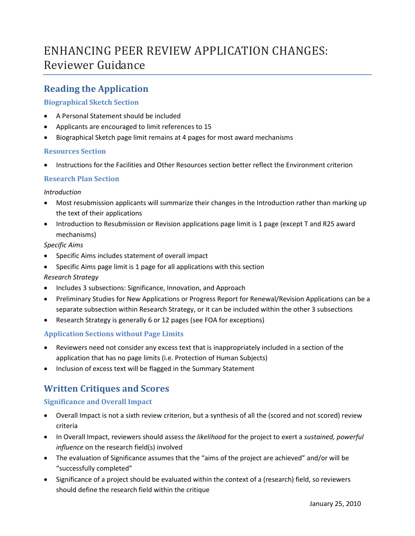# ENHANCING PEER REVIEW APPLICATION CHANGES: Reviewer Guidance

# **Reading the Application**

## **Biographical Sketch Section**

- A Personal Statement should be included
- Applicants are encouraged to limit references to 15
- Biographical Sketch page limit remains at 4 pages for most award mechanisms

## **Resources Section**

• Instructions for the Facilities and Other Resources section better reflect the Environment criterion

## **Research Plan Section**

## *Introduction*

- Most resubmission applicants will summarize their changes in the Introduction rather than marking up the text of their applications
- Introduction to Resubmission or Revision applications page limit is 1 page (except T and R25 award mechanisms)

## *Specific Aims*

- Specific Aims includes statement of overall impact
- Specific Aims page limit is 1 page for all applications with this section

## *Research Strategy*

- Includes 3 subsections: Significance, Innovation, and Approach
- Preliminary Studies for New Applications or Progress Report for Renewal/Revision Applications can be a separate subsection within Research Strategy, or it can be included within the other 3 subsections
- Research Strategy is generally 6 or 12 pages (see FOA for exceptions)

## **Application Sections without Page Limits**

- Reviewers need not consider any excess text that is inappropriately included in a section of the application that has no page limits (i.e. Protection of Human Subjects)
- Inclusion of excess text will be flagged in the Summary Statement

# **Written Critiques and Scores**

## **Significance and Overall Impact**

- Overall Impact is not a sixth review criterion, but a synthesis of all the (scored and not scored) review criteria
- In Overall Impact, reviewers should assess th*e likelihood* for the project to exert a *sustained, powerful influence* on the research field(s) involved
- The evaluation of Significance assumes that the "aims of the project are achieved" and/or will be "successfully completed"
- Significance of a project should be evaluated within the context of a (research) field, so reviewers should define the research field within the critique